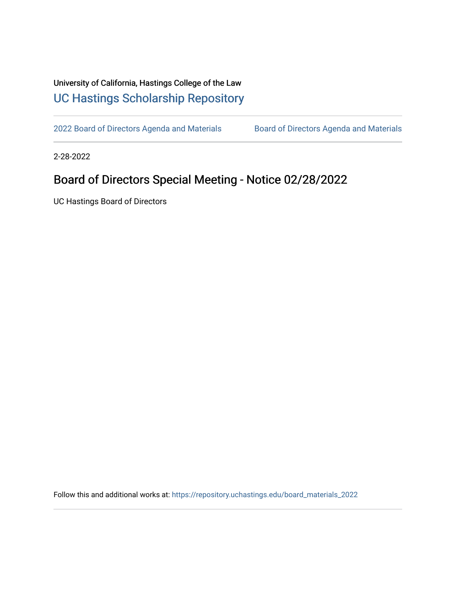## University of California, Hastings College of the Law [UC Hastings Scholarship Repository](https://repository.uchastings.edu/)

[2022 Board of Directors Agenda and Materials](https://repository.uchastings.edu/board_materials_2022) Board of Directors Agenda and Materials

2-28-2022

## Board of Directors Special Meeting - Notice 02/28/2022

UC Hastings Board of Directors

Follow this and additional works at: [https://repository.uchastings.edu/board\\_materials\\_2022](https://repository.uchastings.edu/board_materials_2022?utm_source=repository.uchastings.edu%2Fboard_materials_2022%2F24&utm_medium=PDF&utm_campaign=PDFCoverPages)